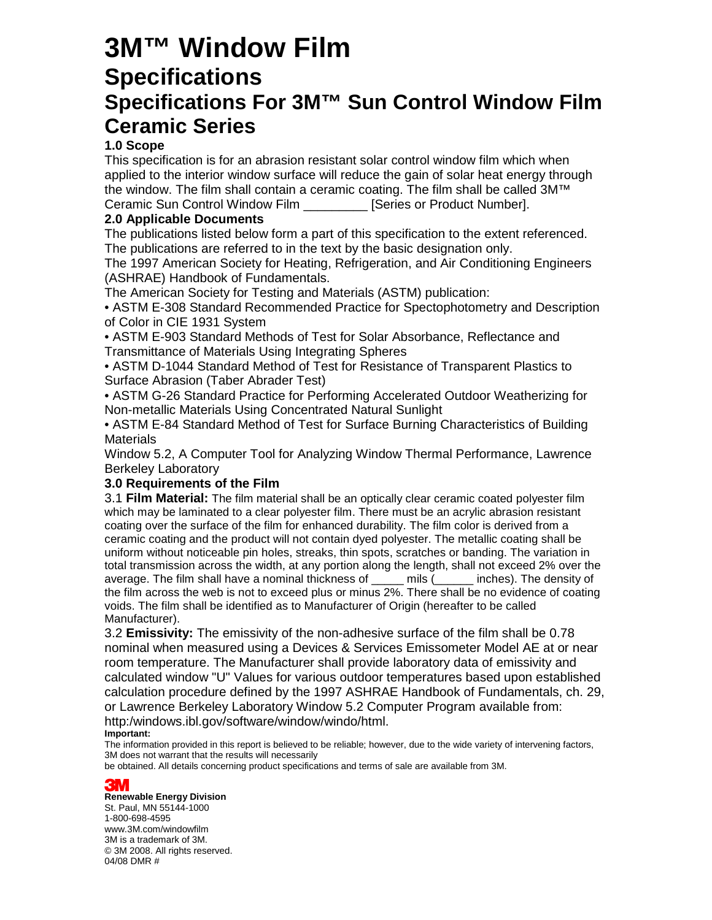## **3M™ Window Film Specifications Specifications For 3M™ Sun Control Window Film Ceramic Series**

### **1.0 Scope**

This specification is for an abrasion resistant solar control window film which when applied to the interior window surface will reduce the gain of solar heat energy through the window. The film shall contain a ceramic coating. The film shall be called 3M™ Ceramic Sun Control Window Film \_\_\_\_\_\_\_\_\_ [Series or Product Number].

### **2.0 Applicable Documents**

The publications listed below form a part of this specification to the extent referenced. The publications are referred to in the text by the basic designation only.

The 1997 American Society for Heating, Refrigeration, and Air Conditioning Engineers (ASHRAE) Handbook of Fundamentals.

The American Society for Testing and Materials (ASTM) publication:

• ASTM E-308 Standard Recommended Practice for Spectophotometry and Description of Color in CIE 1931 System

• ASTM E-903 Standard Methods of Test for Solar Absorbance, Reflectance and Transmittance of Materials Using Integrating Spheres

• ASTM D-1044 Standard Method of Test for Resistance of Transparent Plastics to Surface Abrasion (Taber Abrader Test)

• ASTM G-26 Standard Practice for Performing Accelerated Outdoor Weatherizing for Non-metallic Materials Using Concentrated Natural Sunlight

• ASTM E-84 Standard Method of Test for Surface Burning Characteristics of Building **Materials** 

Window 5.2, A Computer Tool for Analyzing Window Thermal Performance, Lawrence Berkeley Laboratory

### **3.0 Requirements of the Film**

3.1 **Film Material:** The film material shall be an optically clear ceramic coated polyester film which may be laminated to a clear polyester film. There must be an acrylic abrasion resistant coating over the surface of the film for enhanced durability. The film color is derived from a ceramic coating and the product will not contain dyed polyester. The metallic coating shall be uniform without noticeable pin holes, streaks, thin spots, scratches or banding. The variation in total transmission across the width, at any portion along the length, shall not exceed 2% over the average. The film shall have a nominal thickness of \_\_\_\_\_ mils (\_\_\_\_\_\_ inches). The density of the film across the web is not to exceed plus or minus 2%. There shall be no evidence of coating voids. The film shall be identified as to Manufacturer of Origin (hereafter to be called Manufacturer).

3.2 **Emissivity:** The emissivity of the non-adhesive surface of the film shall be 0.78 nominal when measured using a Devices & Services Emissometer Model AE at or near room temperature. The Manufacturer shall provide laboratory data of emissivity and calculated window "U" Values for various outdoor temperatures based upon established calculation procedure defined by the 1997 ASHRAE Handbook of Fundamentals, ch. 29, or Lawrence Berkeley Laboratory Window 5.2 Computer Program available from: http:/windows.ibl.gov/software/window/windo/html.

### **Important:**

The information provided in this report is believed to be reliable; however, due to the wide variety of intervening factors, 3M does not warrant that the results will necessarily

be obtained. All details concerning product specifications and terms of sale are available from 3M.

### **3M**

**Renewable Energy Division**  St. Paul, MN 55144-1000 1-800-698-4595 www.3M.com/windowfilm 3M is a trademark of 3M. © 3M 2008. All rights reserved. 04/08 DMR #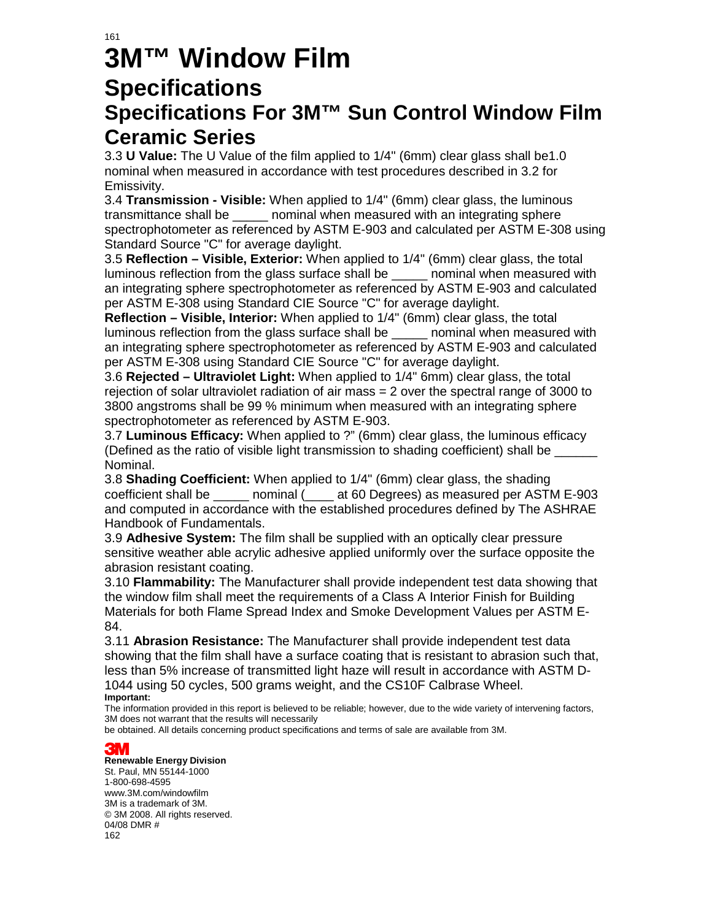### 161

# **3M™ Window Film Specifications**

### **Specifications For 3M™ Sun Control Window Film Ceramic Series**

3.3 **U Value:** The U Value of the film applied to 1/4" (6mm) clear glass shall be1.0 nominal when measured in accordance with test procedures described in 3.2 for Emissivity.

3.4 **Transmission - Visible:** When applied to 1/4" (6mm) clear glass, the luminous transmittance shall be \_\_\_\_\_ nominal when measured with an integrating sphere spectrophotometer as referenced by ASTM E-903 and calculated per ASTM E-308 using Standard Source "C" for average daylight.

3.5 **Reflection – Visible, Exterior:** When applied to 1/4" (6mm) clear glass, the total luminous reflection from the glass surface shall be \_\_\_\_\_ nominal when measured with an integrating sphere spectrophotometer as referenced by ASTM E-903 and calculated per ASTM E-308 using Standard CIE Source "C" for average daylight.

**Reflection – Visible, Interior:** When applied to 1/4" (6mm) clear glass, the total luminous reflection from the glass surface shall be \_\_\_\_\_ nominal when measured with an integrating sphere spectrophotometer as referenced by ASTM E-903 and calculated per ASTM E-308 using Standard CIE Source "C" for average daylight.

3.6 **Rejected – Ultraviolet Light:** When applied to 1/4" 6mm) clear glass, the total rejection of solar ultraviolet radiation of air mass = 2 over the spectral range of 3000 to 3800 angstroms shall be 99 % minimum when measured with an integrating sphere spectrophotometer as referenced by ASTM E-903.

3.7 **Luminous Efficacy:** When applied to ?" (6mm) clear glass, the luminous efficacy (Defined as the ratio of visible light transmission to shading coefficient) shall be \_ Nominal.

3.8 **Shading Coefficient:** When applied to 1/4" (6mm) clear glass, the shading coefficient shall be \_\_\_\_\_ nominal (\_\_\_\_ at 60 Degrees) as measured per ASTM E-903 and computed in accordance with the established procedures defined by The ASHRAE Handbook of Fundamentals.

3.9 **Adhesive System:** The film shall be supplied with an optically clear pressure sensitive weather able acrylic adhesive applied uniformly over the surface opposite the abrasion resistant coating.

3.10 **Flammability:** The Manufacturer shall provide independent test data showing that the window film shall meet the requirements of a Class A Interior Finish for Building Materials for both Flame Spread Index and Smoke Development Values per ASTM E-84.

3.11 **Abrasion Resistance:** The Manufacturer shall provide independent test data showing that the film shall have a surface coating that is resistant to abrasion such that, less than 5% increase of transmitted light haze will result in accordance with ASTM D-1044 using 50 cycles, 500 grams weight, and the CS10F Calbrase Wheel. **Important:** 

The information provided in this report is believed to be reliable; however, due to the wide variety of intervening factors, 3M does not warrant that the results will necessarily

be obtained. All details concerning product specifications and terms of sale are available from 3M.

### **3M**

### **Renewable Energy Division**

St. Paul, MN 55144-1000 1-800-698-4595 www.3M.com/windowfilm 3M is a trademark of 3M. © 3M 2008. All rights reserved. 04/08 DMR # 162